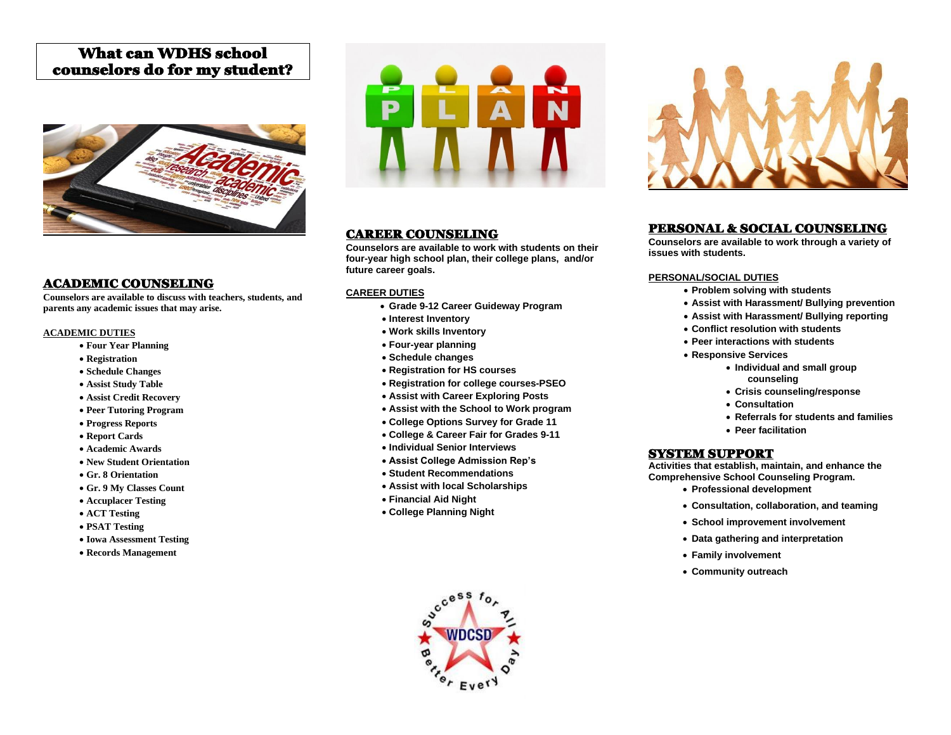# What can WDHS school counselors do for my student?



## ACADEMIC COUNSELING

**Counselors are available to discuss with teachers, students, and parents any academic issues that may arise.**

#### **ACADEMIC DUTIES**

- **Four Year Planning**
- **Registration**
- **Schedule Changes**
- **Assist Study Table**
- **Assist Credit Recovery**
- **Peer Tutoring Program**
- **Progress Reports**
- **Report Cards**
- **Academic Awards**
- **New Student Orientation**
- **Gr. 8 Orientation**
- **Gr. 9 My Classes Count**
- **Accuplacer Testing**
- **ACT Testing**
- **PSAT Testing**
- **Iowa Assessment Testing**
- **Records Management**



## CAREER COUNSELING

**Counselors are available to work with students on their four-year high school plan, their college plans, and/or future career goals.**

#### **CAREER DUTIES**

- **Grade 9-12 Career Guideway Program**
- **Interest Inventory**
- **Work skills Inventory**
- **Four-year planning**
- **Schedule changes**
- **Registration for HS courses**
- **Registration for college courses-PSEO**
- **Assist with Career Exploring Posts**
- **Assist with the School to Work program**
- **College Options Survey for Grade 11**
- **College & Career Fair for Grades 9-11**
- **Individual Senior Interviews**
- **Assist College Admission Rep's**
- **Student Recommendations**
- **Assist with local Scholarships**
- **Financial Aid Night**
- **College Planning Night**





# PERSONAL & SOCIAL COUNSELING

**Counselors are available to work through a variety of issues with students.**

#### **PERSONAL/SOCIAL DUTIES**

- **Problem solving with students**
- **Assist with Harassment/ Bullying prevention**
- **Assist with Harassment/ Bullying reporting**
- **Conflict resolution with students**
- **Peer interactions with students**
- **Responsive Services**
	- **Individual and small group counseling**
	- **Crisis counseling/response**
	- **Consultation**
	- **Referrals for students and families**
	- **Peer facilitation**

#### SYSTEM SUPPORT

**Activities that establish, maintain, and enhance the Comprehensive School Counseling Program.**

- **Professional development**
- **Consultation, collaboration, and teaming**
- **School improvement involvement**
- **Data gathering and interpretation**
- **Family involvement**
- **Community outreach**